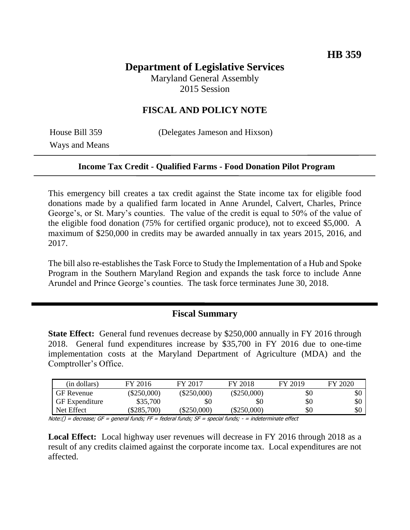# **Department of Legislative Services**

Maryland General Assembly 2015 Session

### **FISCAL AND POLICY NOTE**

Ways and Means

House Bill 359 (Delegates Jameson and Hixson)

#### **Income Tax Credit - Qualified Farms - Food Donation Pilot Program**

This emergency bill creates a tax credit against the State income tax for eligible food donations made by a qualified farm located in Anne Arundel, Calvert, Charles, Prince George's, or St. Mary's counties. The value of the credit is equal to 50% of the value of the eligible food donation (75% for certified organic produce), not to exceed \$5,000. A maximum of \$250,000 in credits may be awarded annually in tax years 2015, 2016, and 2017.

The bill also re-establishes the Task Force to Study the Implementation of a Hub and Spoke Program in the Southern Maryland Region and expands the task force to include Anne Arundel and Prince George's counties. The task force terminates June 30, 2018.

#### **Fiscal Summary**

**State Effect:** General fund revenues decrease by \$250,000 annually in FY 2016 through 2018. General fund expenditures increase by \$35,700 in FY 2016 due to one-time implementation costs at the Maryland Department of Agriculture (MDA) and the Comptroller's Office.

| (in dollars)          | FY 2016       | FY 2017       | FY 2018       | FY 2019 | FY 2020 |
|-----------------------|---------------|---------------|---------------|---------|---------|
| <b>GF</b> Revenue     | $(\$250,000)$ | $(\$250,000)$ | $(\$250,000)$ | \$0     | \$0     |
| <b>GF</b> Expenditure | \$35,700      | \$0           | \$0           | \$0     | \$0     |
| Net Effect            | \$285,700     | \$250,000     | $(\$250,000)$ | \$0     | \$0     |

Note:() = decrease; GF = general funds; FF = federal funds; SF = special funds; - = indeterminate effect

**Local Effect:** Local highway user revenues will decrease in FY 2016 through 2018 as a result of any credits claimed against the corporate income tax. Local expenditures are not affected.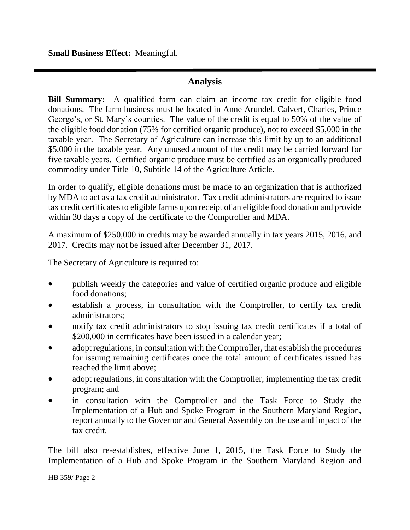**Small Business Effect:** Meaningful.

### **Analysis**

**Bill Summary:** A qualified farm can claim an income tax credit for eligible food donations. The farm business must be located in Anne Arundel, Calvert, Charles, Prince George's, or St. Mary's counties. The value of the credit is equal to 50% of the value of the eligible food donation (75% for certified organic produce), not to exceed \$5,000 in the taxable year. The Secretary of Agriculture can increase this limit by up to an additional \$5,000 in the taxable year. Any unused amount of the credit may be carried forward for five taxable years. Certified organic produce must be certified as an organically produced commodity under Title 10, Subtitle 14 of the Agriculture Article.

In order to qualify, eligible donations must be made to an organization that is authorized by MDA to act as a tax credit administrator. Tax credit administrators are required to issue tax credit certificates to eligible farms upon receipt of an eligible food donation and provide within 30 days a copy of the certificate to the Comptroller and MDA.

A maximum of \$250,000 in credits may be awarded annually in tax years 2015, 2016, and 2017. Credits may not be issued after December 31, 2017.

The Secretary of Agriculture is required to:

- publish weekly the categories and value of certified organic produce and eligible food donations;
- establish a process, in consultation with the Comptroller, to certify tax credit administrators;
- notify tax credit administrators to stop issuing tax credit certificates if a total of \$200,000 in certificates have been issued in a calendar year;
- adopt regulations, in consultation with the Comptroller, that establish the procedures for issuing remaining certificates once the total amount of certificates issued has reached the limit above;
- adopt regulations, in consultation with the Comptroller, implementing the tax credit program; and
- in consultation with the Comptroller and the Task Force to Study the Implementation of a Hub and Spoke Program in the Southern Maryland Region, report annually to the Governor and General Assembly on the use and impact of the tax credit.

The bill also re-establishes, effective June 1, 2015, the Task Force to Study the Implementation of a Hub and Spoke Program in the Southern Maryland Region and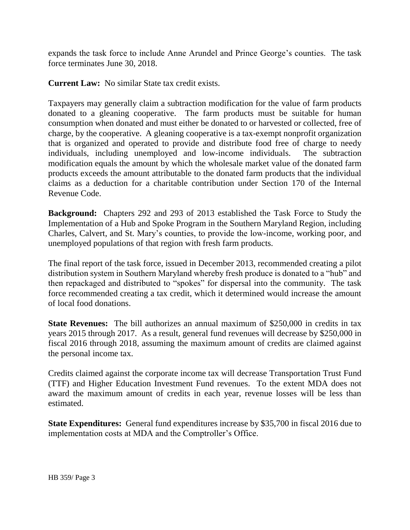expands the task force to include Anne Arundel and Prince George's counties. The task force terminates June 30, 2018.

**Current Law:** No similar State tax credit exists.

Taxpayers may generally claim a subtraction modification for the value of farm products donated to a gleaning cooperative. The farm products must be suitable for human consumption when donated and must either be donated to or harvested or collected, free of charge, by the cooperative. A gleaning cooperative is a tax-exempt nonprofit organization that is organized and operated to provide and distribute food free of charge to needy individuals, including unemployed and low-income individuals. The subtraction modification equals the amount by which the wholesale market value of the donated farm products exceeds the amount attributable to the donated farm products that the individual claims as a deduction for a charitable contribution under Section 170 of the Internal Revenue Code.

**Background:** Chapters 292 and 293 of 2013 established the Task Force to Study the Implementation of a Hub and Spoke Program in the Southern Maryland Region, including Charles, Calvert, and St. Mary's counties, to provide the low-income, working poor, and unemployed populations of that region with fresh farm products.

The final report of the task force, issued in December 2013, recommended creating a pilot distribution system in Southern Maryland whereby fresh produce is donated to a "hub" and then repackaged and distributed to "spokes" for dispersal into the community. The task force recommended creating a tax credit, which it determined would increase the amount of local food donations.

**State Revenues:** The bill authorizes an annual maximum of \$250,000 in credits in tax years 2015 through 2017. As a result, general fund revenues will decrease by \$250,000 in fiscal 2016 through 2018, assuming the maximum amount of credits are claimed against the personal income tax.

Credits claimed against the corporate income tax will decrease Transportation Trust Fund (TTF) and Higher Education Investment Fund revenues. To the extent MDA does not award the maximum amount of credits in each year, revenue losses will be less than estimated.

**State Expenditures:** General fund expenditures increase by \$35,700 in fiscal 2016 due to implementation costs at MDA and the Comptroller's Office.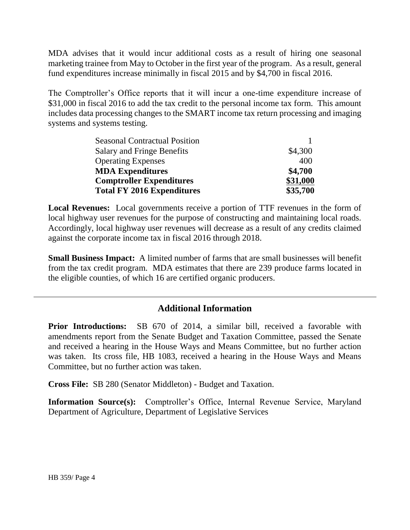MDA advises that it would incur additional costs as a result of hiring one seasonal marketing trainee from May to October in the first year of the program. As a result, general fund expenditures increase minimally in fiscal 2015 and by \$4,700 in fiscal 2016.

The Comptroller's Office reports that it will incur a one-time expenditure increase of \$31,000 in fiscal 2016 to add the tax credit to the personal income tax form. This amount includes data processing changes to the SMART income tax return processing and imaging systems and systems testing.

| <b>Seasonal Contractual Position</b> |          |
|--------------------------------------|----------|
| <b>Salary and Fringe Benefits</b>    | \$4,300  |
| <b>Operating Expenses</b>            | 400      |
| <b>MDA Expenditures</b>              | \$4,700  |
| <b>Comptroller Expenditures</b>      | \$31,000 |
| <b>Total FY 2016 Expenditures</b>    | \$35,700 |

**Local Revenues:** Local governments receive a portion of TTF revenues in the form of local highway user revenues for the purpose of constructing and maintaining local roads. Accordingly, local highway user revenues will decrease as a result of any credits claimed against the corporate income tax in fiscal 2016 through 2018.

**Small Business Impact:** A limited number of farms that are small businesses will benefit from the tax credit program. MDA estimates that there are 239 produce farms located in the eligible counties, of which 16 are certified organic producers.

## **Additional Information**

**Prior Introductions:** SB 670 of 2014, a similar bill, received a favorable with amendments report from the Senate Budget and Taxation Committee, passed the Senate and received a hearing in the House Ways and Means Committee, but no further action was taken. Its cross file, HB 1083, received a hearing in the House Ways and Means Committee, but no further action was taken.

**Cross File:** SB 280 (Senator Middleton) - Budget and Taxation.

**Information Source(s):** Comptroller's Office, Internal Revenue Service, Maryland Department of Agriculture, Department of Legislative Services